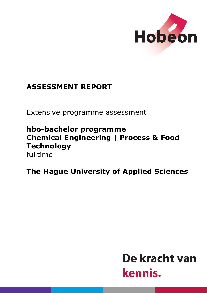

# **ASSESSMENT REPORT**

Extensive programme assessment

# **hbo-bachelor programme Chemical Engineering | Process & Food Technology** fulltime

**The Hague University of Applied Sciences**

# De kracht van kennis.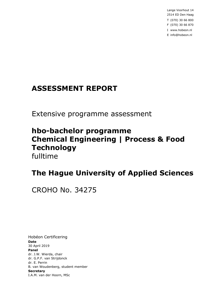Lange Voorhout 14 2514 ED Den Haag T (070) 30 66 800 F (070) 30 66 870 I www.hobeon.nl E info@hobeon.nl

# **ASSESSMENT REPORT**

Extensive programme assessment

# **hbo-bachelor programme Chemical Engineering | Process & Food Technology** fulltime

# **The Hague University of Applied Sciences**

CROHO No. 34275

Hobéon Certificering **Date** 30 April 2019 **Panel** dr. J.W. Wierda, chair dr. G.P.F. van Strijdonck dr. E. Perrin B. van Woudenberg, student member **Secretary** I.A.M. van der Hoorn, MSc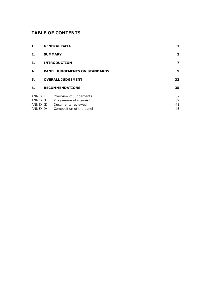# **TABLE OF CONTENTS**

| 1.                                           |                          | <b>GENERAL DATA</b>                                                                                 | 1                    |  |
|----------------------------------------------|--------------------------|-----------------------------------------------------------------------------------------------------|----------------------|--|
| 2.                                           | <b>SUMMARY</b><br>3      |                                                                                                     |                      |  |
| 3.                                           | <b>INTRODUCTION</b><br>7 |                                                                                                     |                      |  |
| 4.                                           |                          | <b>PANEL JUDGEMENTS ON STANDARDS</b>                                                                | 9                    |  |
| 5.                                           |                          | <b>OVERALL JUDGEMENT</b>                                                                            | 33                   |  |
| 6.                                           |                          | <b>RECOMMENDATIONS</b>                                                                              | 35                   |  |
| ANNEX I<br>ANNEX II<br>ANNEX III<br>ANNEX IV |                          | Overview of judgements<br>Programme of site-visit<br>Documents reviewed<br>Composition of the panel | 37<br>39<br>41<br>43 |  |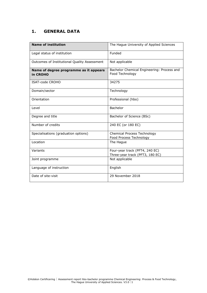# <span id="page-6-0"></span>**1. GENERAL DATA**

| <b>Name of institution</b>                         | The Hague University of Applied Sciences                          |
|----------------------------------------------------|-------------------------------------------------------------------|
| Legal status of institution                        | Funded                                                            |
| Outcomes of Institutional Quality Assessment       | Not applicable                                                    |
| Name of degree programme as it appears<br>in CROHO | Bachelor Chemical Engineering: Process and<br>Food Technology     |
| ISAT-code CROHO                                    | 34275                                                             |
| Domain/sector                                      | Technology                                                        |
| Orientation                                        | Professional (hbo)                                                |
| Level                                              | Bachelor                                                          |
| Degree and title                                   | Bachelor of Science (BSc)                                         |
| Number of credits                                  | 240 EC (or 180 EC)                                                |
| Specialisations (graduation options)               | Chemical Process Technology<br>Food Process Technology            |
| Location                                           | The Hague                                                         |
| Variants                                           | Four-year track (PFT4, 240 EC)<br>Three-year track (PFT3, 180 EC) |
| Joint programme                                    | Not applicable                                                    |
| Language of instruction                            | English                                                           |
| Date of site-visit                                 | 29 November 2018                                                  |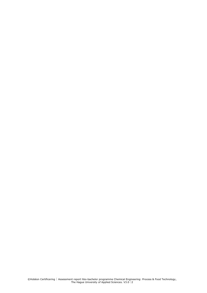©Hobéon Certificering Assessment report hbo-bachelor programme Chemical Engineering: Process & Food Technology, The Hague University of Applied Sciences. V3.0  $|2$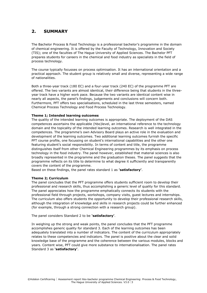# <span id="page-8-0"></span>**2. SUMMARY**

The Bachelor Process & Food Technology is a professional bachelor's programme in the domain of chemical engineering. It is offered by the Faculty of Technology, Innovation and Society (TIS); one of the faculties of The Hague University of Applied Sciences. The Bachelor PFT prepares students for careers in the chemical and food industry as specialists in the field of process technology.

The course typically focusses on process optimisation. It has an international orientation and a practical approach. The student group is relatively small and diverse, representing a wide range of nationalities.

Both a three-year track (180 EC) and a four-year track (240 EC) of the programme PFT are offered. The two variants are almost identical, their difference being that students in the threeyear track have a higher work pace. Because the two variants are identical content wise in nearly all aspects, the panel's findings, judgements and conclusions will concern both. Furthermore, PFT offers two specialisations, scheduled in the last three semesters, named Chemical Process Technology and Food Process Technology.

#### **Theme 1; Intended learning outcomes**

The quality of the intended learning outcomes is appropriate. The deployment of the DAS competences ascertains the applicable (hbo)level, an international reference to the technology domain and the topicality of the intended learning outcomes. Research is well integrated in the competences. The programme's own Advisory Board plays an active role in the evaluation and development of the learning outcomes. Two additional learning outcomes furnish the specific PFT course profile, one focussing on student's international capabilities and the other one featuring student's social responsibility. In terms of content and title, the programme distinguishes itself from other Chemical Engineering programmes by its emphasis on process technology in the food industry. The panel however, established that material sciences is also broadly represented in the programme and the graduation theses. The panel suggests that the programme reflects on its title to determine to what degree it sufficiently and transparently covers the content of the programme.

Based on these findings, the panel rates standard 1 as **'satisfactory'**.

#### **Theme 2; Curriculum**

The panel concludes that the PFT programme offers students sufficient room to develop their professional and research skills, thus accomplishing a generic level of quality for this standard. The panel appreciates how the programme emphatically connects its students with the professional field through projects, workshops, company visits, guest lectures and internships. The curriculum also offers students the opportunity to develop their professional research skills, although the integration of knowledge and skills in research projects could be further enhanced (for example, through a strong connection with a research group).

The panel considers Standard 2 to be **'satisfactory'**.

In weighing up the strong and weak points, the panel concludes that the PFT programme accomplishes generic quality for standard 3. Each of the learning outcomes has been adequately translated into a number of indicators. The content of the curriculum appropriately relates to these competencies and indicators. The panel is positive about the clear and solid knowledge base of the programme and the coherence between the various modules, blocks and years. Content wise, PFT could give more substance to internationalisation. The panel rates Standard 3 as **'satisfactory'**.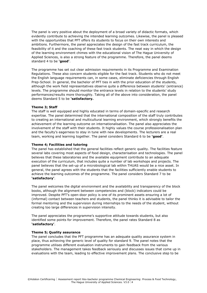The panel is very positive about the deployment of a broad variety of didactic formats, which evidently contribute to achieving the intended learning outcomes. Likewise, the panel is pleased with the opportunities that PFT offers its students to focus on their own interests and ambitions. Furthermore, the panel appreciates the design of the fast track curriculum, the feasibility of it and the coaching of these fast track students. The neat way in which the design of the learning environment chimes with the educational vision of The Hague University of Applied Sciences, is also a strong feature of the programme. Therefore, the panel deems standard 4 to be **'good'**.

The programme has set out clear admission requirements in its Programme and Examination Regulations. These also concern students eligible for the fast track. Students who do not meet the English language requirements can, in some cases, eliminate deficiencies through English Prep-School. In general, the bachelor of PFT ties in with the prior education of the students, although the work field representatives observe quite a difference between students' (entrance) levels. The programme should monitor the entrance levels in relation to the students' study performances/results more thoroughly. Taking all of the above into consideration, the panel deems Standard 5 to be **'satisfactory.**

#### **Theme 3; Staff**

The staff is well equipped and highly educated in terms of domain-specific and research expertise. The panel determined that the international composition of the staff truly contributes to creating an international and multicultural learning environment, which strongly benefits the achievement of the learning outcome on internationalisation. The panel also appreciates the involvement of the staff with their students. It highly values the course professionalisation plan and the faculty's eagerness to stay in tune with new developments. The lecturers are a real team, working and learning together. The panel considers Standard 6 to be **'good'**.

#### **Theme 4; Facilities and tutoring**

The panel has established that the general facilities reflect generic quality. The facilities feature several labs covering most aspects of food design, characterisation and technologies. The panel believes that these laboratories and the available equipment contribute to an adequate execution of the curriculum, that includes quite a number of lab workshops and projects. The panel believes that the set-up of a microbiological lab within THUAS would be a nice asset. In general, the panel agrees with the students that the facilities sufficiently enable students to achieve the learning outcomes of the programme. The panel considers Standard 7 to be **'satisfactory'**.

The panel welcomes the digital environment and the availability and transparency of the block books, although the alignment between competencies and (block) indicators could be improved. Despite PFT's open-door policy is one of its prominent assets ensuring a lot of (informal) contact between teachers and students, the panel thinks it is advisable to tailor the formal mentoring and the supervision during internships to the needs of the student, without creating too large differences in supervision intensity.

The panel appreciates the programme's supportive attitude towards students, but also identified some points for improvement. Therefore, the panel rates Standard 8 as **'satisfactory'**.

#### **Theme 5; Quality assurance**

The panel concludes that the PFT programme has an adequate quality assurance system in place, thus achieving the generic level of quality for standard 9. The panel notes that the programme utilises different evaluation instruments to gain feedback from the various stakeholders. The management takes feedback seriously and discusses issues that come up in evaluations with the team, leading to effective improvement plans. The conclusive step to be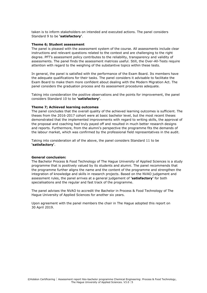taken is to inform stakeholders on intended and executed actions. The panel considers Standard 9 to be **'satisfactory'**.

#### **Theme 6; Student assessment**

The panel is pleased with the assessment system of the course. All assessments include clear instructions and relevant questions related to the context and are challenging to the right degree. PFT's assessment policy contributes to the reliability, transparency and validity of assessments. The panel finds the assessment matrices useful. Still, the Over-All-Tests require attention with regard to the weighing of the substantive topics within these tests.

In general, the panel is satisfied with the performance of the Exam Board. Its members have the adequate qualifications for their tasks. The panel considers it advisable to facilitate the Exam Board to make them more confident about dealing with the Modern Migration Act. The panel considers the graduation process and its assessment procedures adequate.

Taking into consideration the positive observations and the points for improvement, the panel considers Standard 10 to be **'satisfactory'**.

#### **Theme 7; Achieved learning outcomes**

The panel concludes that the overall quality of the achieved learning outcomes is sufficient. The theses from the 2016-2017 cohort were at basic bachelor level, but the most recent theses demonstrated that the implemented improvements with regard to writing skills, the approval of the proposal and coaching had truly payed off and resulted in much better research designs and reports. Furthermore, from the alumni's perspective the programme fits the demands of the labour market, which was confirmed by the professional field representatives in the audit.

Taking into consideration all of the above, the panel considers Standard 11 to be **'satisfactory'**.

#### **General conclusion:**

The Bachelor Process & Food Technology of The Hague University of Applied Sciences is a study programme that is positively valued by its students and alumni. The panel recommends that the programme further aligns the name and the content of the programme and strengthen the integration of knowledge and skills in research projects. Based on the NVAO judgement and assessment rules, the panel arrives at a general judgement of **'satisfactory'** for both specialisations and the regular and fast track of the programme.

The panel advises the NVAO to accredit the Bachelor in Process & Food Technology of The Hague University of Applied Sciences for another six years.

Upon agreement with the panel members the chair in The Hague adopted this report on 30 April 2019.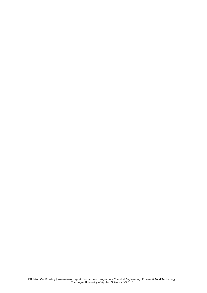©Hobéon Certificering Assessment report hbo-bachelor programme Chemical Engineering: Process & Food Technology, The Hague University of Applied Sciences. V3.0  $\mid$  6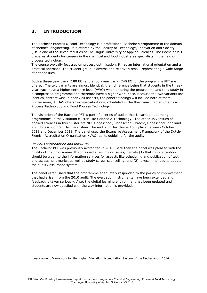# <span id="page-12-0"></span>**3. INTRODUCTION**

The Bachelor Process & Food Technology is a professional Bachelor's programme in the domain of chemical engineering. It is offered by the Faculty of Technology, Innovation and Society (TIS); one of the seven faculties of The Hague University of Applied Sciences. The Bachelor PFT prepares students for careers in the chemical and food industry as specialists in the field of process technology.

The course typically focusses on process optimisation. It has an international orientation and a practical approach. The student group is diverse and relatively small, representing a wide range of nationalities.

Both a three-year track (180 EC) and a four-year track (240 EC) of the programme PFT are offered. The two variants are almost identical, their difference being that students in the threeyear track have a higher entrance level (VWO) when entering the programme and they study in a compressed programme and therefore have a higher work pace. Because the two variants are identical content wise in nearly all aspects, the panel's findings will include both of them. Furthermore, THUAS offers two specialisations, scheduled in the third year, named Chemical Process Technology and Food Process Technology.

The visitation of the Bachelor PFT is part of a series of audits that is carried out among programmes in the visitation cluster 'Life Science & Technology'. The other universities of applied sciences in this cluster are NHL Hogeschool, Hogeschool Utrecht, Hogeschool Inholland and Hogeschool Van Hall Larenstein. The audits of this cluster took place between October 2018 and December 2018. The panel used the Extensive Assessment Framework of the Dutch-Flemish Accreditation Organisation  $NVAO<sup>1</sup>$  as its quideline for the audit.

#### *Previous accreditation and follow-up*

i,

The Bachelor PFT was previously accredited in 2010. Back then the panel was pleased with the quality of the programme. It addressed a few minor issues, namely (1) that more attention should be given to the information services for aspects like scheduling and publication of test and assessment marks, as well as study career counselling, and (2) it recommended to update the quality assurance system.

The panel established that the programme adequately responded to the points of improvement that had arisen from the 2010 audit. The evaluation instruments have been extended and feedback is taken seriously. Also, the digital learning environment has been updated and students are now satisfied with the way information is provided.

<sup>&</sup>lt;sup>1</sup> Assessment Framework for the Higher Education Accreditation System of the Netherlands, 2016.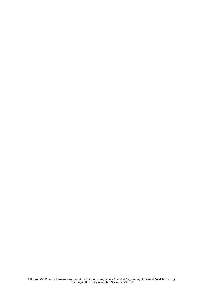©Hobéon Certificering Assessment report hbo-bachelor programme Chemical Engineering: Process & Food Technology, The Hague University of Applied Sciences. V3.0  $|8$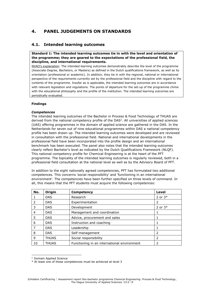# <span id="page-14-0"></span>**4. PANEL JUDGEMENTS ON STANDARDS**

### **4.1. Intended learning outcomes**

#### **Standard 1: The intended learning outcomes tie in with the level and orientation of the programme; they are geared to the expectations of the professional field, the discipline, and international requirements.**

NVAO's explanation: The intended learning outcomes demonstrably describe the level of the programme (Associate Degree, Bachelors, or Masters) as defined in the Dutch qualifications framework, as well as its orientation (professional or academic). In addition, they tie in with the regional, national or international perspective of the requirements currently set by the professional field and the discipline with regard to the contents of the programme. Insofar as is applicable, the intended learning outcomes are in accordance with relevant legislation and regulations. The points of departure for the set-up of the programme chime with the educational philosophy and the profile of the institution. The intended learning outcomes are periodically evaluated.

#### **Findings**

#### *Competences*

The intended learning outcomes of the Bachelor in Process & Food Technology of THUAS are derived from the national competency profile of the DAS<sup>2</sup> . All universities of applied sciences (UAS) offering programmes in the domain of applied science are gathered in the DAS. In the Netherlands for seven out of nine educational programmes within DAS a national competency profile has been drawn up. The intended learning outcomes were developed and are reviewed in consultation with the professional field. National and international developments in the professional field have been incorporated into the profile design and an international benchmark has been executed. The panel also notes that the intended learning outcomes clearly reflect Bachelor's level as indicated by the Dutch Qualifications Framework (NLQF). This national competency profile for Chemical Engineering is at the heart of the PFT programme. The topicality of the intended learning outcomes is regularly reviewed, both in a professional field consultation at the national level as well as by the Advisory Board of PFT.

In addition to the eight nationally agreed competencies, PFT has formulated two additional competences. This concerns 'social responsibility' and 'functioning in an international environment'. The competencies have been further specified on three levels of command. In all, this means that the PFT students must acquire the following competences:

| No. | Origin       | Competency                                  | Level         |
|-----|--------------|---------------------------------------------|---------------|
|     | <b>DAS</b>   | Research                                    | 2 or $3*$     |
|     | <b>DAS</b>   | Experimentation                             | $\mathcal{P}$ |
| 3   | <b>DAS</b>   | Development                                 | 2 or $3*$     |
| 4   | <b>DAS</b>   | Management and coordination                 |               |
| 5   | <b>DAS</b>   | Advice, procurement and sales               |               |
| 6   | <b>DAS</b>   | Instruction and coaching                    |               |
| 7   | <b>DAS</b>   | Leadership                                  |               |
| 8   | <b>DAS</b>   | Self-management                             | 2             |
| 9   | <b>THUAS</b> | Social responsibility                       | 2             |
| 10  | <b>THUAS</b> | Functioning in an international environment |               |

<sup>2</sup> Domain Applied Science

i,

<sup>\*</sup> At least one of these competences must be achieved at level 3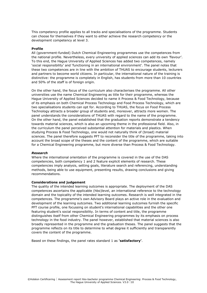This competency profile applies to all tracks and specialisations of the programme. Students can choose for themselves if they want to either achieve the research competency or the development competency at level 3.

#### **Profile**

All (government-funded) Dutch Chemical Engineering programmes use the competences from the national profile. Nevertheless, every university of applied sciences can add its own 'flavour'. To this end, the Hague University of Applied Sciences has added two competences, namely 'social responsibility' and 'functioning in an international environment'. The panel notes that these two competences are in line with the ambition of THUAS to encourage students, lecturers and partners to become world citizens. In particular, the international nature of the training is distinctive: the programme is completely in English, has students from more than 10 countries and 50% of the staff is of foreign origin.

On the other hand, the focus of the curriculum also characterises the programme. All other universities use the name Chemical Engineering as title for their programme, whereas the Hague University of Applied Sciences decided to name it Process & Food Technology, because of its emphasis on both Chemical Process Technology and Food Process Technology, which are two specialisations students can opt for. According to THUAS, the focus on Food Process Technology attracts a broader group of students and, moreover, attracts more women. The panel understands the considerations of THUAS with regard to the name of the programme. On the other hand, the panel established that the graduation reports demonstrate a tendency towards material sciences, which is also an upcoming theme in the professional field. Also, in the curriculum the panel perceived substantial attention for materials and plastics. When studying Process & Food Technology, one would not naturally think of (broad) material sciences. The panel therefore suggests PFT to reconsider the title of the programme, taking into account the broad scope of the theses and the content of the programme, which are suitable for a Chemical Engineering programme, but more diverse than Process & Food Technology.

#### *Research*

Where the international orientation of the programme is covered in the use of the DAS competencies, both competency 1 and 2 feature explicit elements of research. These competencies imply analysis, setting goals, literature search and referencing, understanding methods, being able to use equipment, presenting results, drawing conclusions and giving recommendations.

#### **Considerations and judgement**

The quality of the intended learning outcomes is appropriate. The deployment of the DAS competences ascertains the applicable (hbo)level, an international reference to the technology domain and the topicality of the intended learning outcomes. Research is well integrated in the competences. The programme's own Advisory Board plays an active role in the evaluation and development of the learning outcomes. Two additional learning outcomes furnish the specific PFT course profile, one focussing on student's international capabilities and the other one featuring student's social responsibility. In terms of content and title, the programme distinguishes itself from other Chemical Engineering programmes by its emphasis on process technology in the food industry. The panel however, established that material sciences is also broadly represented in the programme and the graduation theses. The panel suggests that the programme reflects on its title to determine to what degree it sufficiently and transparently covers the content of the programme.

Based on these findings, the panel rates standard 1 as **'satisfactory'**.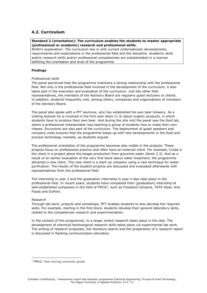# **4.2. Curriculum**

#### **Standard 2 (orientation): The curriculum enables the students to master appropriate (professional or academic) research and professional skills.**

NVAO's explanation: The curriculum ties in with current (international) developments, requirements and expectations in the professional field and the discipline. Academic skills and/or research skills and/or professional competencies are substantiated in a manner befitting the orientation and level of the programme.

#### **Findings**

#### *Professional skills*

The panel perceived that the programme maintains a strong relationship with the professional field. Not only is the professional field involved in the development of the curriculum, it also takes part in the execution and evaluation of the curriculum. Just like other field representatives, the members of the Advisory Board are regularly guest lecturers or clients. In addition, students frequently visit, among others, companies and organisations of members of the Advisory Board.

The panel also spoke with a PFT alumnus, who has established his own beer brewery. As a visiting lecturer he is involved in the first year block (1.4) about organic products, in which students have to produce their own beer. And during the site visit the panel saw the food lab, where a professional cheesemaker was teaching a group of students how to make their own cheese. Excursions are also part of the curriculum. The deployment of guest speakers and company visits ensures that the programme keeps up with new developments in the food and process technology markets, as students argued.

The professional orientation of the programme becomes also visible in the projects. These projects focus on professional practice and often have an external client. For example, Croda is the client in a project about the biogas production from glycerine water (block 2.3). And as a result of an earlier evaluation of the very first block about water treatment, the programme attracted a new client. This new client is a start-up company using a new technique for water purification. The results of the student projects are discussed and evaluated afterwards with representatives from the professional field.

The internship in year 3 and the graduation internship in year 4 also take place in the professional field. In recent years, students have completed their (graduation) internship at well-established companies in the field of FMCG<sup>3</sup>, such as Friesland Campina, TATA Steel, Arla Foods and DuPont.

#### *Research*

-

Through lab work, projects and workshops, PFT enables students to also develop the required skills. For example, starting in the first block, students develop their general laboratory skills, related to the competences research and experimentation.

In the context of this programme, to a larger extent research takes place in the labs. The development of chemical-technological research skills takes place via experimental lab work. The writing of research proposals, the literature search and the preparation of a research report is discussed in flanking communication education.

<sup>&</sup>lt;sup>3</sup> FMCG: Fast moving consumer goods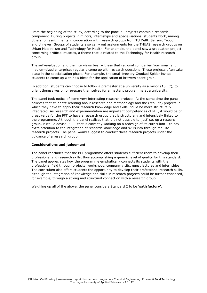From the beginning of the study, according to the panel all projects contain a research component. During projects in minors, internships and specialisations, students work, among others, on assignments in cooperation with research groups from TU Delft, Sensus, Tebodin and Unilever. Groups of students also carry out assignments for the THUAS research groups on Urban Metabolism and Technology for Health. For example, the panel saw a graduation project concerning artificial muscles, a theme that is related to the Technology for Health research group.

The self-evaluation and the interviews bear witness that regional companies from small and medium-sized enterprises regularly come up with research questions. These projects often take place in the specialisation phase. For example, the small brewery Crooked Spider invited students to come up with new ideas for the application of brewers spent grain.

In addition, students can choose to follow a premaster at a university as a minor (15 EC), to orient themselves on or prepare themselves for a master's programme at a university.

The panel took notice of some very interesting research projects. At the same time the panel believes that students' learning about research and methodology and the (real life) projects in which they have to apply their research knowledge and skills, could be more structurally integrated. As research and experimentation are important competencies of PFT, it would be of great value for the PFT to have a research group that is structurally and intensively linked to the programme. Although the panel realises that it is not possible to 'just' set up a research group, it would advise PFT – that is currently working on a redesign of its curriculum – to pay extra attention to the integration of research knowledge and skills into through real life research projects. The panel would suggest to conduct these research projects under the guidance of a research group.

#### **Considerations and judgement**

The panel concludes that the PFT programme offers students sufficient room to develop their professional and research skills, thus accomplishing a generic level of quality for this standard. The panel appreciates how the programme emphatically connects its students with the professional field through projects, workshops, company visits, guest lectures and internships. The curriculum also offers students the opportunity to develop their professional research skills, although the integration of knowledge and skills in research projects could be further enhanced, for example, through a strong and structural connection with a research group.

Weighing up all of the above, the panel considers Standard 2 to be **'satisfactory'**.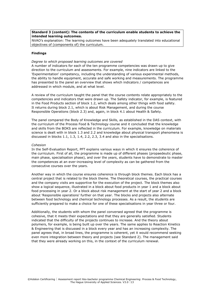#### **Standard 3 (content): The contents of the curriculum enable students to achieve the intended learning outcomes.**

NVAO's explanation: The learning outcomes have been adequately translated into educational objectives of (components of) the curriculum.

#### **Findings**

#### *Degree to which proposed learning outcomes are covered*

A number of indicators for each of the ten programme competencies was drawn up to give direction to the curriculum and assessments. For example, nine indicators are linked to the 'Experimentation' competency, including the understanding of various experimental methods, the ability to handle equipment, accurate and safe working and measurements. The programme has presented to the panel an overview that shows which indicators / competences are addressed in which module, and at what level.

A review of the curriculum taught the panel that the course contents relate appropriately to the competencies and indicators that were drawn up. The Safety indicator, for example, is featured in the Food Products section of block 1.2, which deals among other things with food safety. It returns during block 2.1, which is about Risk Management, and during the course Responsible Operations (block 2.3) and, again, in block 4.1 about Health & Safety.

The panel compared the Body of Knowledge and Skills, as established in the DAS context, with the curriculum of the Process Food & Technology course and it concluded that the knowledge and skills from the BOKS are reflected in the curriculum. For example, knowledge on materials science is dealt with in block 1.3 and 2.2 and knowledge about physical transport phenomena is discussed in blocks 1.1, 1.3, 1.4, 2.2, 2.3, 3.4 and also in the specialisations.

#### *Cohesion*

In the Self-Evaluation Report, PFT explains various ways in which it ensures the coherence of the curriculum. First of all, the programme is made up of different phases (propaedeutic phase, main phase, specialisation phase), and over the years, students have to demonstrate to master the competences at an ever-increasing level of complexity as can be gathered from the consecutive courses over the years.

Another way in which the course ensures coherence is through block themes. Each block has a central project that is related to the block theme. The theoretical courses, the practical courses and the company visits are supportive for the execution of the project. The block themes also show a logical sequence, illustrated in a block about food products in year 1 and a block about food processing in year 2. Or a block about risk management at the start of year 2 and a block about 'Responsible operations' further on that year. The blocks and projects also alternate between food technology and chemical technology processes. As a result, the students are sufficiently prepared to make a choice for one of these specialisations in year three or four.

Additionally, the students with whom the panel conversed agreed that the programme is cohesive, that it meets their expectations and that they are generally satisfied. Students indicated that the difficulty of the projects continues to increase. And the theory about polymers, for example, is being built up over the years. The same applies to Reaction Kinetics & Engineering that is discussed in a block every year and has an increasing complexity. The panel agrees that, in broad lines, the programme is coherent, yet it would recommend seeking even more integration between theory and projects (see Standard 2). The management said that they were already working on this, in the context of the curriculum renewal.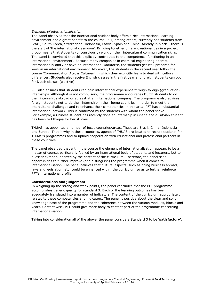#### *Elements of internationalisation*

The panel observed that the international student body offers a rich international learning environment and a great benefit to the course. PFT, among others, currently has students from Brazil, South Korea, Switzerland, Indonesia, Latvia, Spain and China. Already in block 1 there is the start of 'the international classroom'. Bringing together different nationalities in a project group means that students (unconsciously) work on their intercultural communication skills. The panel is convinced that this explicitly contributes to the competence 'functioning in an international environment'. Because many companies in chemical engineering operate internationally and / or have an international workforce, the students get well prepared for work in an international environment. Moreover, the students in the second year follow the course 'Communication Across Cultures', in which they explicitly learn to deal with cultural differences. Students also receive English classes in the first year and foreign students can opt for Dutch classes (elective).

PFT also ensures that students can gain international experience through foreign (graduation) internships. Although it is not compulsory, the programme encourages Dutch students to do their internships abroad or at least at an international company. The programme also advises foreign students not to do their internship in their home countries, in order to meet the intercultural challenges and to enhance their competencies in this area. PFT has a substantial international network. This is confirmed by the students with whom the panel spoke. For example, a Chinese student has recently done an internship in Ghana and a Latvian student has been to Ethiopia for her studies.

THUAS has appointed a number of focus countries/areas. These are Brazil, China, Indonesia and Europe. That is why in these countries, agents of THUAS are located to recruit students for THUAS's programmes and to uphold cooperation with educational and professional partners in these countries.

The panel observed that within the course the element of internationalisation appears to be a matter of course, particularly fuelled by an international body of students and lecturers, but to a lesser extent supported by the content of the curriculum. Therefore, the panel sees opportunities to further improve (and distinguish) the programme when it comes to internationalisation. The panel believes that cultural aspects, such as doing business abroad, laws and legislation, etc. could be enhanced within the curriculum so as to further reinforce PFT's international profile.

#### **Considerations and judgement**

In weighing up the strong and weak points, the panel concludes that the PFT programme accomplishes generic quality for standard 3. Each of the learning outcomes has been adequately translated into a number of indicators. The content of the curriculum appropriately relates to these competencies and indicators. The panel is positive about the clear and solid knowledge base of the programme and the coherence between the various modules, blocks and years. Content wise, PFT could give more body to content part of the programme concerning internationalisation.

Taking into consideration all of the above, the panel considers Standard 3 to be **'satisfactory'**.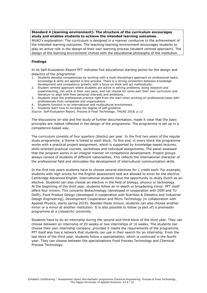#### **Standard 4 (learning environment): The structure of the curriculum encourages study and enables students to achieve the intended learning outcomes.**

NVAO's explanation: The curriculum is designed in a manner conducive to the achievement of the intended learning outcomes. The teaching-learning environment encourages students to play an active role in the design of their own learning process (student centred approach). The design of the learning environment chimes with the educational philosophy of the institution.

#### **Findings**

In its Self-Evaluation Report PFT indicates five educational starting points for the design and didactics of the programme:

- 1. Students develop competencies by working with a multi-disciplinary approach on professional tasks; knowledge & skills are applied in this process. There is a strong connection between knowledge development and competency growth, with a focus on think and act methodically.
- 2. Student centred approach where students are active in solving problems, doing research and experimenting, can work in their own pace, and can choose for some part their own curriculum and literature to align with their personal interests and ambitions.
- 3. Students meet the professional practice right from the start when working on professional tasks with professionals from companies and organizations.
- 4. Students function in an international and multicultural environment.
- 5. Students learn how to increase the degree of self-guidance.

*Source: Self-Evaluation Report, Process & Food Technology, THUAS 2018, p.12*

The discussions on-site and the study of further documentation, made it clear that the basic principles are indeed reflected in the design of the programme. The programme is set up in a competence-based way.

The curriculum consists of four quarters (blocks) per year. In the first two years of the regular study programme, a theme is linked to each block. To this end, in every block the programme works with a practical project assignment, which is supported by knowledge-based lectures, skills-oriented practical courses, workshops and individual assignments. The panel assessed that the program works in an integral manner on competence development. Project groups always consist of students of different nationalities. This reflects the international character of the professional field and stimulates the development of intercultural communication skills.

In the first two years students have to choose several electives for 1 credit each. For example, students with high scores for the English assessment test are allowed to enrol for the elective Cambridge Advanced English. International students have the opportunity to study Dutch as an elective. Students can also choose an elective in the field of biology, physics or technology. At the beginning of the third year, students follow an in-depth or broadening minor. PFT itself offers four minors. This concerns Biotechnology (developed in cooperation with DSM and TU Delft), Food Product Design (developed in cooperation with Nutrition & Dietetics and Industrial Design Engineering), Development Cooperation and Micro Technology (in collaboration with Applied Physics, starts spring 2019). Besides these minors, students can also choose another minor or a minor at another institution. It is also possible to follow (a part of) a premaster programme at a (research) university.

Students have to do an internship during the second and third block of the third year. They can choose between an internship of 20 weeks or two internships of 10 weeks. The students can choose their own internship company, provided it meets the requirements of the programme. PFT itself also has a network that students can use in their search for an internship. From the last block of the third year, students follow a specialisation, which is continued in the fourth year. They can choose between the specialisations Food Process Technology and Chemical Process Technology.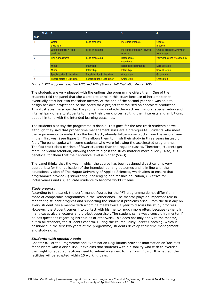| Year | <b>Block</b> | 1                                      | ŋ                                      | 3                                       |                                          |
|------|--------------|----------------------------------------|----------------------------------------|-----------------------------------------|------------------------------------------|
|      |              | <b>Water</b><br>treatment              | <b>Food products</b>                   | Inorganic products                      | <b>Organic</b><br>products               |
|      |              | Water treatment & Food<br>products     | Food processing                        | Inorganic products & Polymer<br>science | Organic products & Polymer<br>technology |
|      |              | <b>Risk management</b>                 | <b>Food processing</b>                 | Responsible<br>operations               | <b>Polymer Science &amp; technology</b>  |
|      |              | <b>Minor</b>                           | Internship                             | <b>Responsible operations</b>           | <b>Specialisation</b>                    |
|      |              | <b>Minor</b>                           | Internship                             | Internship                              | <b>Specialisation</b>                    |
|      |              | <b>Specialisation &amp; Lint-minor</b> | <b>Specialisation &amp; Lint-minor</b> | Graduation                              | <b>Graduation</b>                        |
|      |              | <b>Specialisation &amp; Lint-minor</b> | <b>Specialisation &amp; Lint-minor</b> | <b>Graduation</b>                       | <b>Graduation</b>                        |

*Figure 1. PFT programme outline PFT3 and PFT4 (Source: Self Evaluation Report PFT)*

The students are very pleased with the options the programme offers them. One of the students told the panel that she wanted to enrol in this study because of her ambition to eventually start her own chocolate factory. At the end of the second year she was able to design her own project and so she opted for a project that focused on chocolate production. This illustrates the scope that the programme - outside the electives, minors, specialisation and internships - offers to students to make their own choices, suiting their interests and ambitions, but still in tune with the intended learning outcomes.

The students also say the programme is doable. This goes for the fast track students as well, although they said that proper time management skills are a prerequisite. Students who meet the requirements to embark on the fast track, already follow some blocks from the second year in their first year (see figure 1). This allows them to finish their study in three years instead of four. The panel spoke with some students who were following the accelerated programme. The fast track class consists of fewer students than the regular classes. Therefore, students get more individual attention, allowing them to digest the study material more quickly. Also, it is beneficial for them that their entrance level is higher (VWO).

The panel thinks that the way in which the course has been designed didactically, is very appropriate for the realisation of the intended learning outcomes and is in line with the educational vision of The Hague University of Applied Sciences, which aims to ensure that programmes provide (i) stimulating, challenging and feasible education, (ii) strive for inclusiveness and (iii) educate students to become world citizens.

#### *Study progress*

According to the panel, the performance figures for the PFT programme do not differ from those of comparable programmes in the Netherlands. The mentor plays an important role in monitoring student progress and supporting the student if problems arise. From the first day on every student has a mentor with whom he meets twice a year to discuss his study progress. However, the student comes into contact with his mentor much more often, because (s)he is in many cases also a lecturer and project supervisor. The student can always consult his mentor if he has questions regarding his studies or otherwise. This does not only apply to the mentor, but to all teachers, the students confirm. During the course Study Career Coaching, which is positioned in the first two years of the programme, students develop their time management and study skills.

#### *Students with special needs*

Chapter 8.1 of the Programme and Examination Regulations provides information on 'facilities for students with a disability'. It explains that students with a disability who wish to exercise their right for adapted facilities need to submit a request to the Exam Board. If accepted, the facilities will be adapted within 15 working days.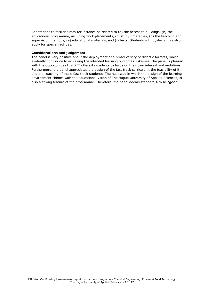Adaptations to facilities may for instance be related to (a) the access to buildings, (b) the educational programme, including work placements, (c) study timetables, (d) the teaching and supervision methods, (e) educational materials, and (f) tests. Students with dyslexia may also apply for special facilities.

#### **Considerations and judgement**

The panel is very positive about the deployment of a broad variety of didactic formats, which evidently contribute to achieving the intended learning outcomes. Likewise, the panel is pleased with the opportunities that PFT offers its students to focus on their own interest and ambitions. Furthermore, the panel appreciates the design of the fast track curriculum, the feasibility of it and the coaching of these fast track students. The neat way in which the design of the learning environment chimes with the educational vision of The Hague University of Applied Sciences, is also a strong feature of the programme. Therefore, the panel deems standard 4 to be **'good'**.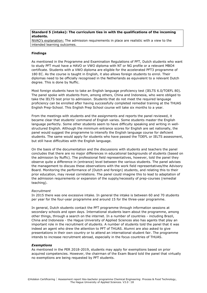#### **Standard 5 (intake): The curriculum ties in with the qualifications of the incoming students.**

NVAO's explanation: The admission requirements in place are realistic with a view to the intended learning outcomes.

#### **Findings**

As mentioned in the Programme and Examination Regulations of PFT, Dutch students who want to study PFT must have a HAVO or VWO diploma with NT or NG profile or a relevant MBO4 certificate. Students with a VWO diploma are eligible for the accelerated PFT3 programme of 180 EC. As the course is taught in English, it also allows foreign students to enrol. Their diplomas need to be officially recognised in the Netherlands as equivalent to a relevant Dutch degree. This is done by Nuffic.

Most foreign students have to take an English language proficiency test (IELTS 6.0/TOEFL 80). The panel spoke with students from, among others, China and Indonesia, who were obliged to take the IELTS test prior to admission. Students that do not meet the required language proficiency can be enrolled after having successfully completed remedial training at the THUAS English Prep-School. This English Prep School course will take six months to a year.

From the meetings with students and the assignments and reports the panel reviewed, it became clear that students' command of English varies. Some students master the English language perfectly. Some other students seem to have difficulty speaking and writing in wellstructured English. Although the minimum entrance scores for English are set nationally, the panel would suggest the programme to intensify the English language course for deficient students. The same would apply for students who have passed the TOEFL or IELTS assessment, but still have difficulties with the English language.

On the basis of the documentation and the discussions with students and teachers the panel concludes that there are no major differences in educational backgrounds of students (based on the admission by Nuffic). The professional field representatives, however, told the panel they observe quite a difference in (entrance) level between the various students. The panel advises the management to discuss these observations with the work field representatives/the Advisory Board. Monitoring the performance of (Dutch and foreign) students, and relating this to their prior education, may reveal correlations. The panel could imagine this to lead to adaptation of the admission requirements or expansion of the supply/necessity of prep-courses (remedial teaching).

#### *Recruitment*

In 2015 there was one excessive intake. In general the intake is between 60 and 70 students per year for the four-year programme and around 15 for the three-year programme.

In general, Dutch students contact the PFT programme through information sessions at secondary schools and open days. International students learn about the programme, among other things, through a search on the internet. In a number of countries - including Brazil, China and Indonesia - the Hague University of Applied Sciences also has agents that play an important role in the recruitment of students. A number of students told the panel that it was indeed an agent who drew the attention to PFT of THUAS. Alumni are also asked to give presentations in their own country or to attend an international student fair. The programme intends to increase recruitment abroad, especially in the focus countries of THUAS.

#### *Exemptions*

As mentioned in the PER 2018-2019, students may apply for exemptions based on prior acquired competencies. However, the chairman of the Exam Board told the panel that virtually no exemptions are being requested by PFT students.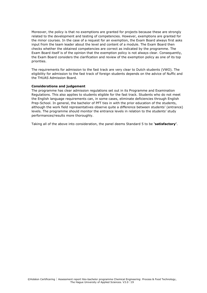Moreover, the policy is that no exemptions are granted for projects because these are strongly related to the development and testing of competencies. However, exemptions are granted for the minor courses. In the case of a request for an exemption, the Exam Board always first asks input from the team leader about the level and content of a module. The Exam Board then checks whether the obtained competencies are correct as indicated by the programme. The Exam Board itself is of the opinion that the exemption policy is not always clear. Consequently, the Exam Board considers the clarification and review of the exemption policy as one of its top priorities.

The requirements for admission to the fast track are very clear to Dutch students (VWO). The eligibility for admission to the fast track of foreign students depends on the advice of Nuffic and the THUAS Admission Board.

#### **Considerations and judgement**

The programme has clear admission regulations set out in its Programme and Examination Regulations. This also applies to students eligible for the fast track. Students who do not meet the English language requirements can, in some cases, eliminate deficiencies through English Prep-School. In general, the bachelor of PFT ties in with the prior education of the students, although the work field representatives observe quite a difference between students' (entrance) levels. The programme should monitor the entrance levels in relation to the students' study performances/results more thoroughly.

Taking all of the above into consideration, the panel deems Standard 5 to be **'satisfactory'**.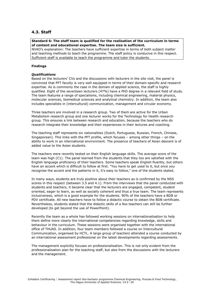### **4.3. Staff**

#### **Standard 6: The staff team is qualified for the realisation of the curriculum in terms of content and educational expertise. The team size is sufficient.**

NVAO's explanation: The teachers have sufficient expertise in terms of both subject matter and teaching methods to teach the programme. The staff policy is conducive in this respect. Sufficient staff is available to teach the programme and tutor the students.

#### **Findings**

#### *Qualifications*

Based on the lecturers' CVs and the discussions with lecturers in the site visit, the panel is convinced that PFT faculty is very well equipped in terms of their domain-specific and research expertise. As is commonly the case in the domain of applied science, the staff is highly qualified. Eight of the seventeen lecturers (47%) have a PhD degree in a relevant field of study. The team features a range of specialisms, including chemical engineering, material physics, molecular sciences, biomedical sciences and analytical chemistry. In addition, the team also includes specialists in (intercultural) communication, management and circular economy.

Three teachers are involved in a research group. Two of them are active for the Urban Metabolism research group and one lecturer works for the Technology for Health research group. This ensures a link between research and education, because the teachers who do research integrate their knowledge and their experiences in their lectures and coaching.

The teaching staff represents six nationalities (Dutch, Portuguese, Russian, French, Chinese, Singaporean). This links with the PFT profile, which focuses – among other things – on the ability to work in an international environment. The presence of teachers of Asian descent is of added value to the Asian students.

The teachers were recently tested on their English language skills. The average score of the team was high (C1). The panel learned from the students that they too are satisfied with the English language proficiency of their teachers. Some teachers speak English fluently, but others have an accent which is difficult to follow at first. "You have to get used to it, but once you recognise the accent and the patterns in it, it's easy to follow," one of the students stated.

In many ways, students are truly positive about their teachers as is confirmed by the NSS scores in this respect (between 3.5 and 4.1). From the interviews that the panel conducted with students and teachers, it became clear that the lecturers are engaged, competent, student oriented, eager to learn, as well as socially coherent and thus a true team. The team represents inclusiveness, which is a good example for the students. 90% of the teachers have a BDB or PDV certificate. All new teachers have to follow a didactic course to obtain the BDB certificate. Nevertheless, students stated that the didactic skills of a few teachers can still be further developed (to get beyond the use of PowerPoint).

Recently the team as a whole has followed working sessions on internationalisation to help them define more clearly the international competencies regarding knowledge, skills and behaviour in the curriculum. These sessions were organised together with the international office of THUAS. In addition, four team members followed a course on Intercultural Communication, organised by HCTL. A large group of teachers attended a course conducted by an international assessment professional on the latest developments regarding assessments.

The management explicitly focuses on professionalisation. This is not only evident from the professionalisation plan for the teaching staff, but also from the discussions with the lecturers and the management.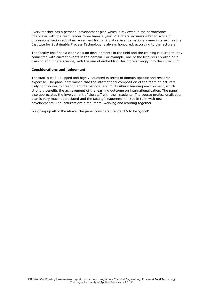Every teacher has a personal development plan which is reviewed in the performance interviews with the team leader three times a year. PFT offers lecturers a broad scope of professionalisation activities. A request for participation in (international) meetings such as the Institute for Sustainable Process Technology is always honoured, according to the lecturers.

The faculty itself has a clear view on developments in the field and the training required to stay connected with current events in the domain. For example, one of the lecturers enrolled on a training about data science, with the aim of embedding this more strongly into the curriculum.

#### **Considerations and judgement**

The staff is well-equipped and highly educated in terms of domain-specific and research expertise. The panel determined that the international composition of the team of lecturers truly contributes to creating an international and multicultural learning environment, which strongly benefits the achievement of the learning outcome on internationalisation. The panel also appreciates the involvement of the staff with their students. The course professionalisation plan is very much appreciated and the faculty's eagerness to stay in tune with new developments. The lecturers are a real team, working and learning together.

Weighing up all of the above, the panel considers Standard 6 to be **'good'**.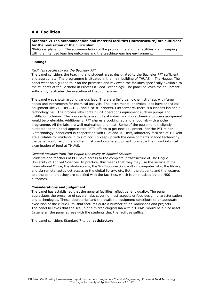# **4.4. Facilities**

#### **Standard 7: The accommodation and material facilities (infrastructure) are sufficient for the realisation of the curriculum.**

NVAO's explanation: The accommodation of the programme and the facilities are in keeping with the intended learning outcomes and the teaching-learning environment.

#### **Findings**

#### *Facilities specifically for the Bachelor PFT*

The panel considers the teaching and student areas designated to the Bachelor PFT sufficient and appropriate. The programme is situated in the main building of THUAS in The Hague. The panel went on a guided tour on the premises and reviewed the facilities specifically available to the students of the Bachelor in Process & Food Technology. The panel believes the equipment sufficiently facilitates the execution of the programme.

The panel was shown around various labs. There are (in)organic chemistry labs with fume hoods and instruments for chemical analysis. The instrumental analytical labs have analytical equipment like GC, HPLC, DSC and also 3D printers. Furthermore, there is a kinetics lab and a technology hall. The process labs contain unit operations equipment such as pumps and distillation columns. The process labs are quite standard and more chemical process equipment would be preferable. Additionally, PFT shares a cooking lab and a food lab with another programme. All the labs are well maintained and neat. Some of the equipment is slightly outdated, so the panel appreciates PFT's efforts to get new equipment. For the PFT minor Biotechnology, conducted in cooperation with DSM and TU Delft, laboratory facilities of TU Delft are available for students in this minor. To keep up with the developments in food technology, the panel would recommend offering students some equipment to enable the microbiological examination of food at THUAS.

#### *General facilities from The Hague University of Applied Sciences*

Students and teachers of PFT have access to the complete infrastructure of The Hague University of Applied Sciences. In practice, this means that they may use the service of the International Office, the study rooms, the Wi-Fi-connection, walk-in computer labs, the library, and via remote laptop get access to the digital library, etc. Both the students and the lectures told the panel that they are satisfied with the facilities, which is emphasised by the NSS outcomes.

#### **Considerations and judgement**

The panel has established that the general facilities reflect generic quality. The panel appreciates the presence of several labs covering most aspects of food design, characterisation and technologies. These laboratories and the available equipment contribute to an adequate execution of the curriculum, that features quite a number of lab workshops and projects. The panel believes that the set-up of a microbiological lab within THUAS would be a nice asset. In general, the panel agrees with the students that the facilities suffice.

The panel considers Standard 7 to be **'satisfactory'**.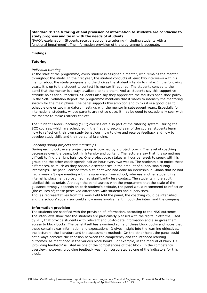#### **Standard 8: The tutoring of and provision of information to students are conducive to study progress and tie in with the needs of students.**

NVAO's explanation: Students receive appropriate tutoring (including students with a functional impairment). The information provision of the programme is adequate.

#### **Findings**

#### **Tutoring**

#### *Individual tutoring*

At the start of the programme, every student is assigned a mentor, who remains the mentor throughout the study. In the first year, the student conducts at least two interviews with his mentor about the study progress and the choices the student intends to make. In the following years, it is up to the student to contact his mentor if required. The students convey to the panel that the mentor is always available to help them. And as students say this supportive attitude holds for all teachers. Students also say they appreciate the faculty's open-door policy. In the Self-Evaluation Report, the programme mentions that it wants to intensify the mentoring system for the main phase. The panel supports this ambition and thinks it is a good idea to schedule one or two mandatory meetings with the mentor in subsequent years. Especially for international students, whose parents are not so close, it may be good to occasionally spar with the mentor to make (career) choices.

The Student Career Coaching (SCC) courses are also part of the tutoring system. During the SCC courses, which are scheduled in the first and second year of the course, students learn how to reflect on their own study behaviour, how to give and receive feedback and how to develop study skills and their personal branding.

#### *Coaching during projects and internships*

During each block, every project group is coached by a project coach. The level of coaching decreases over the years, both in intensity and content. The lecturers say that it is sometimes difficult to find the right balance. One project coach takes an hour per week to speak with his group and the other coach spends half an hour every two weeks. The students also notice these differences, as much as they observe discrepancies in the amount of supervision during internships. The panel learned from a student who had done an internship in Ghana that he had had a weekly Skype meeting with his supervisor from school, whereas another student in an internship placement abroad had had significantly less contact. The students in the audit labelled this as unfair. Although the panel agrees with the programme that the scale of the guidance strongly depends on each student's attitude, the panel would recommend to reflect on (the causes of) these perceived differences with students and supervisors. And, as representatives from the work field told the panel, the coaching could be intensified

and the schools' supervisor could show more involvement in both the intern and the company.

#### **Information provision**

The students are satisfied with the provision of information, according to the NSS outcomes. The interviews show that the students are particularly pleased with the digital platforms, used by PFT, that provide students with relevant and up-to-date information and also gives them access to block books. The panel itself has examined some of these block books and notes that these contain clear information and expectations. It gives insight into the learning objectives, the lecturers, the literature and the assessment methods. On the other hand, the panel could not always perceive the cohesion between the competency and the intended learning outcomes, as mentioned in the various block books. For example, in the manual of block 1.1 'providing feedback' is listed as one of the competencies of that block. In the competency overview, however, providing feedback was not incorporated as one of the indicators for this block.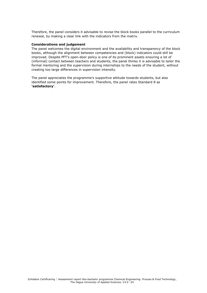Therefore, the panel considers it advisable to revise the block books parallel to the curriculum renewal, by making a clear link with the indicators from the matrix.

#### **Considerations and judgement**

The panel welcomes the digital environment and the availability and transparency of the block books, although the alignment between competencies and (block) indicators could still be improved. Despite PFT's open-door policy is one of its prominent assets ensuring a lot of (informal) contact between teachers and students, the panel thinks it is advisable to tailor the formal mentoring and the supervision during internships to the needs of the student, without creating too large differences in supervision intensity.

The panel appreciates the programme's supportive attitude towards students, but also identified some points for improvement. Therefore, the panel rates Standard 8 as **'satisfactory'**.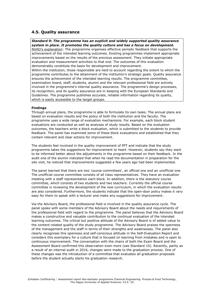### **4.5. Quality assurance**

*Standard 9: The programme has an explicit and widely supported quality assurance system in place. It promotes the quality culture and has a focus on development.* NVAO's explanation: The programme organises effective periodic feedback that supports the achievement of the intended learning outcomes. Existing programmes implement appropriate improvements based on the results of the previous assessment. They initiate appropriate evaluation and measurement activities to that end. The outcomes of this evaluation demonstrably constitute the basis for development and improvement. Within the institution, those responsible are held to account regarding the extent to which the programme contributes to the attainment of the institution's strategic goals. Quality assurance ensures the achievement of the intended learning results. The programme committee, examination board, staff, students, alumni and the relevant professional field are actively involved in the programme's internal quality assurance. The programme's design processes, its recognition, and its quality assurance are in keeping with the European Standards and Guidelines. The programme publishes accurate, reliable information regarding its quality, which is easily accessible to the target groups.

#### **Findings**

Through annual plans, the programme is able to formulate its own tasks. The annual plans are based on evaluation results and the policy of both the institution and the faculty. The programme uses a wide range of evaluation mechanisms. For example, each block student evaluations are conducted as well as analyses of study results. Based on the evaluation outcomes, the teachers write a block evaluation, which is submitted to the students to provide feedback. The panel has examined some of these block evaluations and established that they contain relevant and clear actions for improvement.

The students feel involved in the quality improvement of PFT and indicate that the study programme takes the suggestions for improvement to heart. However, students say they want to be informed better about the adjustments in the programme based on their feedback. In the audit one of the alumni indicated that when he read the documentation in preparation for the site visit, he noticed that improvements suggested a few years ago had been implemented.

The panel learned that there are two 'course committees', an official one and an unofficial one. The unofficial course committee consists of all class representatives. They have an evaluation meeting with a staff representation each block. In addition, there is the statutory course committee, which consists of two students and two teachers. Currently the official course committee is reviewing the development of the new curriculum, in which the evaluation results are also considered. Furthermore, the students indicate that the open-door policy makes it very easy for them to speak with a lecturer and make any suggestions for improvement.

Via the Advisory Board, the professional field is involved in the quality assurance cycle. The panel spoke with some members of the Advisory Board about the needs and requirements of the professional field with regard to the programme. The panel believes that the Advisory Board makes a constructive and valuable contribution to the continual evaluation of the intended learning outcomes. The critical but positive attitude of the Advisory Board is of added value to the content-related quality of the study programme. The Advisory Board praises the openness of the management and the staff in terms of their strengths and weaknesses. The panel also clearly recognises this openness and self-conscious attitude in the Self-Evaluation Report and considers this exemplary for a culture that is focused on learning from mistakes and is open to continuous improvement. The conversation with the chairs of both the Exam Board and the Assessment Board confirmed this observation even more (see Standard 10). Recently, partly as a result of an internal audit in 2016, changes were made to the graduation process. One of these changes was the introduction of a committee that evaluates all graduation proposals before the student actually starts his graduation research.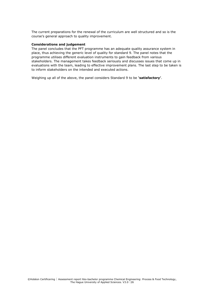The current preparations for the renewal of the curriculum are well structured and so is the course's general approach to quality improvement.

#### **Considerations and judgement**

The panel concludes that the PFT programme has an adequate quality assurance system in place, thus achieving the generic level of quality for standard 9. The panel notes that the programme utilises different evaluation instruments to gain feedback from various stakeholders. The management takes feedback seriously and discusses issues that come up in evaluations with the team, leading to effective improvement plans. The last step to be taken is to inform stakeholders on the intended and executed actions.

Weighing up all of the above, the panel considers Standard 9 to be **'satisfactory'**.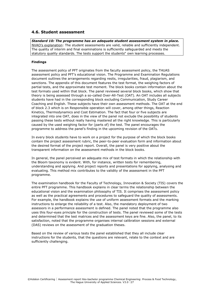### **4.6. Student assessment**

*Standard 10: The programme has an adequate student assessment system in place.* NVAO's explanation: The student assessments are valid, reliable and sufficiently independent. The quality of interim and final examinations is sufficiently safeguarded and meets the statutory quality standards. The tests support the students" own learning processes.

#### **Findings**

The assessment policy of PFT originates from the faculty assessment policy, the THUAS assessment policy and PFT's educational vision. The Programme and Examination Regulations document outlines the arrangements regarding resits, irregularities, fraud, plagiarism, and sanctions. The appendix of this document features the test format, the weighing factors of partial tests, and the approximate test moment. The block books contain information about the test formats used within that block. The panel reviewed several block books, which show that theory is being assessed through a so-called Over-All-Test (OAT). An OAT includes all subjects students have had in the corresponding block excluding Communication, Study Career Coaching and English. These subjects have their own assessment methods. The OAT at the end of block 2.3 which is on Responsible operation will cover, among other things, Reaction Kinetics, Thermodynamics and Cost Estimation. The fact that four or five subjects are integrated into one OAT, does in the view of the panel not exclude the possibility of students passing these tests without really having mastered all the right knowledge. This is particularly caused by the used weighing factor for (parts of) the test. The panel encourages the programme to address the panel's finding in the upcoming revision of the OATs.

In every block students have to work on a project for the purpose of which the block books contain the project assessment rubric, the peer-to-peer evaluation form and information about the desired format of the project report. Overall, the panel is very positive about the transparent information on the assessment methods in the block books.

In general, the panel perceived an adequate mix of test formats in which the relationship with the Bloom taxonomy is evident. With, for instance, written tests for remembering, understanding and applying. And project reports and presentations for applying, analysing and evaluating. This method mix contributes to the validity of the assessment in the PFT programme.

The examination handbook for the Faculty of Technology, Innovation & Society (TIS) covers the entire PFT programme. This handbook explains in clear terms the relationship between the educational vision and the examination philosophy of TIS. It comprises the assessment policy as well as the practical agreements and procedures to safeguard the quality of assessments. For example, the handbook explains the use of uniform assessment formats and the marking instructions to enlarge the reliability of a test. Also, the mandatory deployment of two assessors in a performance assessment is defined. The panel noted that the programme also uses this four-eyes principle for the construction of tests. The panel reviewed some of the tests and determined that the test matrices and the assessment keys are fine. Also, the panel, to its satisfaction, noted that the programme organises internal calibration sessions and external (DAS) reviews on the assessment of the graduation theses.

Based on the review of various tests the panel established that they all include clear instructions for the students, that the questions are relevant, relate to the context and are sufficiently challenging.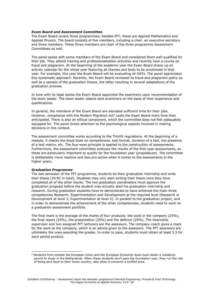#### *Exam Board and Assessment Committee*

The Exam Board covers three programmes; besides PFT, these are Applied Mathematics and Applied Physics. The board consists of five members, including a chair, an executive secretary and three members. These three members are chair of the three programme Assessment Committees as well.

The panel spoke with some members of the Exam Board and considered them well-qualified for their job. They attend training and professionalisation activities and recently took a course on fraud and plagiarism. At the beginning of the academic year the Exam Board draws up an activity calendar for the whole year featuring all themes and tests to be scrutinised in that year. For example, this year the Exam Board will be evaluating all OATs. The panel appreciates this systematic approach. Recently, the Exam Board reviewed its fraud and plagiarism policy as well as a sample of the graduation theses, the latter resulting in several adaptations of the graduation process.

In tune with its legal duties the Exam Board appointed the examiners upon recommendation of the team leader. The team leader selects able examiners on the basis of their experience and qualifications.

In general, the members of the Exam Board are allocated sufficient time for their jobs. However, compliance with the Modern Migration Act<sup>4</sup> costs the Exam Board more time than anticipated. There is also an ethical component, which the committee does not feel adequately equipped for. The panel draws attention to the psychological aspects involved in making decisions in this context.

The assessment committee works according to the THUAS regulations. At the beginning of a module, it checks the block book on competences, test format, duration of a test, the presence of a test matrix, etc. The four-eyes principle is applied to the construction of assessments. Furthermore, the assessment committee analyses the results of the first-year assessments, as these are particularly important to qualify for the foundation year (*propedeuse*). The committee is deliberately more reactive and less pro-active when it comes to the assessments in the higher years.

#### *Graduation Programme*

-

The last semester of the PFT programme, students do their graduation internship and write their thesis (30 EC in total). Students may only start writing their thesis once they have completed all of the other blocks. The two graduation coordinators must approve the graduation proposal before the student may actually start his graduation internship and research. During graduation students have to demonstrate to have achieved the main three competencies Research, Experimentation and Development at the required level (Research or Development at level 3, Experimentation at level 2). In parallel to the graduation project, and in order to demonstrate the achievement of the other competencies, students need to work on a graduation assessment portfolio.

The final mark is the average of the marks of four products: the work in the company (25%), the final report (25%), the presentation (25%) and the defence (25%). The internship supervisor and two assigned PFT lecturers are the assessors. The company coach gives a mark for the work at the company, which is an advice given to the assessors. The PFT assessors are ultimately the ones awarding the grades. In order to pass, students must obtain at least 5.5 for each partial product.

<sup>4</sup> Students from outside the European Union and the European Economic Area must obtain a residence permit to study in the Netherlands. When these students don't pass the foundation year, they run the risk of being sent back to their home country, also when it concerns a conflict area.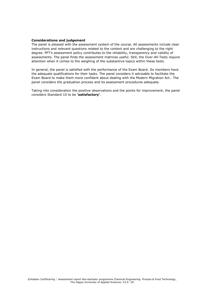#### **Considerations and judgement**

The panel is pleased with the assessment system of the course. All assessments include clear instructions and relevant questions related to the context and are challenging to the right degree. PFT's assessment policy contributes to the reliability, transparency and validity of assessments. The panel finds the assessment matrices useful. Still, the Over-All-Tests require attention when it comes to the weighing of the substantive topics within these tests.

In general, the panel is satisfied with the performance of the Exam Board. Its members have the adequate qualifications for their tasks. The panel considers it advisable to facilitate the Exam Board to make them more confident about dealing with the Modern Migration Act.. The panel considers the graduation process and its assessment procedures adequate.

Taking into consideration the positive observations and the points for improvement, the panel considers Standard 10 to be **'satisfactory'**.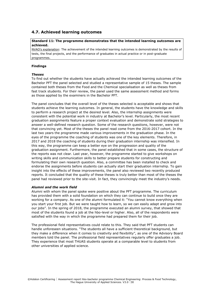# **4.7. Achieved learning outcomes**

#### **Standard 11: The programme demonstrates that the intended learning outcomes are achieved.**

NVAO's explanation: The achievement of the intended learning outcomes is demonstrated by the results of tests, the final projects, and the performance of graduates in actual practice or in post-graduate programmes.

#### **Findings**

#### *Theses*

To find out whether the students have actually achieved the intended learning outcomes of the Bachelor PFT the panel selected and studied a representative sample of 15 theses. The sample contained both theses from the Food and the Chemical specialisation as well as theses from fast track students. For their review, the panel used the same assessment method and forms as those applied by the examiners in the Bachelor PFT.

The panel concludes that the overall level of the theses selected is acceptable and shows that students achieve the learning outcomes. In general, the students have the knowledge and skills to perform a research project at the desired level. Also, the internship assignments were consistent with the potential work in industry at Bachelor's level. Particularly, the most recent graduation assignments feature a proper context evaluation and demonstrate solid strategies to answer a well-defined research question. Some of the research questions, however, were not that convincing yet. Most of the theses the panel read come from the 2016-2017 cohort. In the last two years the programme made various improvements in the graduation phase. In the eyes of the programme the coaching of students was one of the key elements. Therefore, in 2017 and 2018 the coaching of students during their graduation internship was intensified. In this way, the programme can keep a better eye on the progression and quality of the graduation assignment. Furthermore, the panel established that in some cases, the structure of the reports was not clear. Last year, however, the programme started to give workshops on writing skills and communication skills to better prepare students for constructing and formulating their own research question. Also, a committee has been installed to check and endorse the assignments before students can actually start their graduation internship. To gain insight into the effects of these improvements, the panel also reviewed two recently produced reports. It concluded that the quality of these theses is truly better than most of the theses the panel had reviewed prior to the site-visit. In fact, they convincingly meet the industry's needs.

#### *Alumni and the work field*

Alumni with whom the panel spoke were positive about the PFT programme. The curriculum has provided them with a solid foundation on which they can continue to build once they are working for a company. As one of the alumni formulated it: "You cannot know everything when you start your first job. But we were taught how to learn, so we can easily adapt and grow into our jobs". In the spring of 2018, the programme executed an alumni survey, that showed that most of the students found a job at the hbo-level or higher. Also, all of the respondents were satisfied with the way in which the programme had prepared them for their job.

The professional field representatives could relate to this. They said that PFT students can handle unforeseen situations. "The students all have a sufficient theoretical background, but they make a difference when it comes to creativity and flexibility", as one of the Advisory Board members told the panel. The professional field representatives regularly offer graduates a job. They experience that most THUAS students operate at a comparable level to students from other universities of applied science.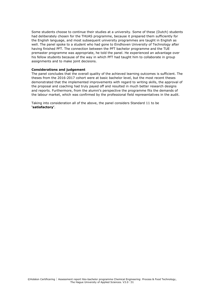Some students choose to continue their studies at a university. Some of these (Dutch) students had deliberately chosen for the THUAS programme, because it prepared them sufficiently for the English language, and most subsequent university programmes are taught in English as well. The panel spoke to a student who had gone to Eindhoven University of Technology after having finished PFT. The connection between the PFT bachelor programme and the TUE premaster programme was appropriate, he told the panel. He experienced an advantage over his fellow students because of the way in which PFT had taught him to collaborate in group assignments and to make joint decisions.

#### **Considerations and judgement**

The panel concludes that the overall quality of the achieved learning outcomes is sufficient. The theses from the 2016-2017 cohort were at basic bachelor level, but the most recent theses demonstrated that the implemented improvements with regard to writing skills, the approval of the proposal and coaching had truly payed off and resulted in much better research designs and reports. Furthermore, from the alumni's perspective the programme fits the demands of the labour market, which was confirmed by the professional field representatives in the audit.

Taking into consideration all of the above, the panel considers Standard 11 to be **'satisfactory'**.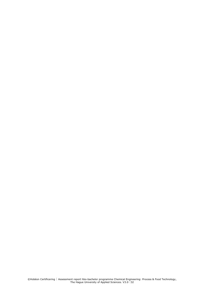©Hobéon Certificering Assessment report hbo-bachelor programme Chemical Engineering: Process & Food Technology, The Hague University of Applied Sciences. V3.0 32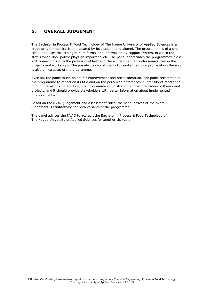# <span id="page-38-0"></span>**5. OVERALL JUDGEMENT**

The Bachelor in Process & Food Technology of The Hague University of Applied Sciences is a study programme that is appreciated by its students and alumni. The programme is of a smallscale, and uses this strength in its formal and informal study support system, in which the staff's 'open-door policy' plays an important role. The panel appreciates the programme's closeknit connections with the professional field and the active role that professionals play in the projects and workshops. The possibilities for students to create their own profile along the way is also a nice asset of the programme.

Even so, the panel found points for improvement and reconsideration. The panel recommends the programme to reflect on its title and on the perceived differences in intensity of mentoring during internships. In addition, the programme could strengthen the integration of theory and projects, and it should provide stakeholders with better information about implemented improvements.

Based on the NVAO judgement and assessment rules, the panel arrives at the overall judgement **'satisfactory'** for both variants of the programme.

The panel advises the NVAO to accredit the Bachelor in Process & Food Technology of The Hague University of Applied Sciences for another six years.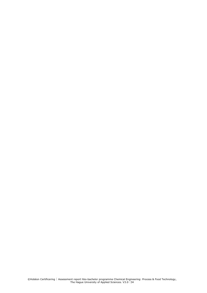©Hobéon Certificering Assessment report hbo-bachelor programme Chemical Engineering: Process & Food Technology, The Hague University of Applied Sciences. V3.0 34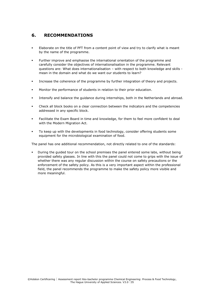# <span id="page-40-0"></span>**6. RECOMMENDATIONS**

- Elaborate on the title of PFT from a content point of view and try to clarify what is meant by the name of the programme.
- Further improve and emphasise the international orientation of the programme and carefully consider the objectives of internationalisation in the programme. Relevant questions are: What does internationalisation – with respect to both knowledge and skills mean in the domain and what do we want our students to learn?
- Increase the coherence of the programme by further integration of theory and projects.
- Monitor the performance of students in relation to their prior education.
- Intensify and balance the guidance during internships, both in the Netherlands and abroad.
- Check all block books on a clear connection between the indicators and the competencies addressed in any specific block.
- Facilitate the Exam Board in time and knowledge, for them to feel more confident to deal with the Modern Migration Act.
- To keep up with the developments in food technology, consider offering students some equipment for the microbiological examination of food.

The panel has one additional recommendation, not directly related to one of the standards:

 During the guided tour on the school premises the panel entered some labs, without being provided safety glasses. In line with this the panel could not come to grips with the issue of whether there was any regular discussion within the course on safety precautions or the enforcement of the safety policy. As this is a very important aspect within the professional field, the panel recommends the programme to make the safety policy more visible and more meaningful.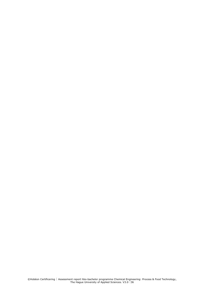©Hobéon Certificering Assessment report hbo-bachelor programme Chemical Engineering: Process & Food Technology, The Hague University of Applied Sciences. V3.0 36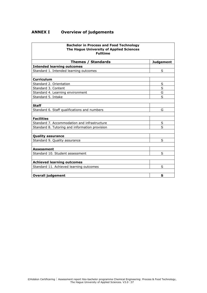# <span id="page-42-0"></span>**ANNEX I Overview of judgements**

| <b>Bachelor in Process and Food Technology</b><br>The Hague University of Applied Sciences<br><b>Fulltime</b> |                  |  |  |  |
|---------------------------------------------------------------------------------------------------------------|------------------|--|--|--|
| <b>Themes / Standards</b>                                                                                     | <b>Judgement</b> |  |  |  |
| <b>Intended learning outcomes</b>                                                                             |                  |  |  |  |
| Standard 1. Intended learning outcomes                                                                        | S                |  |  |  |
|                                                                                                               |                  |  |  |  |
| <b>Curriculum</b>                                                                                             |                  |  |  |  |
| Standard 2. Orientation                                                                                       | S                |  |  |  |
| Standard 3. Content                                                                                           | S                |  |  |  |
| Standard 4. Learning environment                                                                              | G                |  |  |  |
| Standard 5. Intake                                                                                            | S                |  |  |  |
|                                                                                                               |                  |  |  |  |
| <b>Staff</b>                                                                                                  |                  |  |  |  |
| Standard 6. Staff qualifications and numbers                                                                  | G                |  |  |  |
|                                                                                                               |                  |  |  |  |
| <b>Facilities</b>                                                                                             |                  |  |  |  |
| Standard 7. Accommodation and infrastructure                                                                  | S                |  |  |  |
| Standard 8. Tutoring and information provision                                                                | S                |  |  |  |
|                                                                                                               |                  |  |  |  |
| <b>Quality assurance</b>                                                                                      |                  |  |  |  |
| Standard 9. Quality assurance                                                                                 | S                |  |  |  |
|                                                                                                               |                  |  |  |  |
| Assessment                                                                                                    |                  |  |  |  |
| Standard 10. Student assessment                                                                               | S                |  |  |  |
|                                                                                                               |                  |  |  |  |
| <b>Achieved learning outcomes</b>                                                                             |                  |  |  |  |
| Standard 11. Achieved learning outcomes                                                                       | S                |  |  |  |
|                                                                                                               |                  |  |  |  |
| <b>Overall judgement</b>                                                                                      | S                |  |  |  |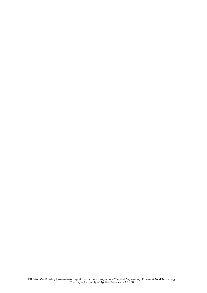<span id="page-43-0"></span>©Hobéon Certificering Assessment report hbo-bachelor programme Chemical Engineering: Process & Food Technology, The Hague University of Applied Sciences. V3.0 38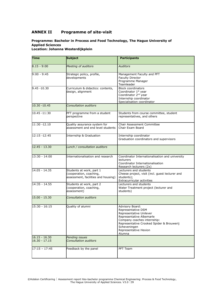# **ANNEX II Programme of site-visit**

# **Programme: Bachelor in Process and Food Technology, The Hague University of Applied Sciences**

**Location: Johanna Westerdijkplein** 

| <b>Time</b>                        | <b>Subject</b>                                                                             | <b>Participants</b>                                                                                                                                                                                                         |
|------------------------------------|--------------------------------------------------------------------------------------------|-----------------------------------------------------------------------------------------------------------------------------------------------------------------------------------------------------------------------------|
| $8.15 - 9:00$                      | Meeting of auditors                                                                        | Auditors                                                                                                                                                                                                                    |
| $9:00 - 9:45$                      | Strategic policy, profile,<br>developments                                                 | Management Faculty and PFT<br><b>Faculty Director</b><br>Programme Manager<br>Teamleader                                                                                                                                    |
| $9.45 - 10.30$                     | Curriculum & didactics: contents,<br>design, alignment                                     | <b>Block coordinators</b><br>Coordinator 1 <sup>st</sup> year<br>Coordinator 2 <sup>nd</sup> year<br>Internship coordinator<br>Specialisation coordinator                                                                   |
| $10.30 - 10.45$                    | <b>Consultation auditors</b>                                                               |                                                                                                                                                                                                                             |
| 10.45 -11:30                       | PFT programme from a student<br>perspective                                                | Students from course committee, student<br>representatives, and others                                                                                                                                                      |
| $11:30 - 12.10$                    | Quality assurance system for<br>assessment and end level students                          | <b>Chair Assessment Committee</b><br>Chair Exam Board                                                                                                                                                                       |
| 12:15 -12:45                       | Internship & Graduation                                                                    | Internship coordinator<br>Graduation coordinators and supervisors                                                                                                                                                           |
| 12.45 - 13.30                      | Lunch / consultation auditors                                                              |                                                                                                                                                                                                                             |
| 13:30 - 14:00                      | Internationalisation and research                                                          | Coordinator Internationalisation and university<br><b>lecturers</b><br>Coordinator Internationalisation<br>Research lecturers (2x)                                                                                          |
| 14.05 - 14.35                      | Students at work, part 1<br>(cooperation, coaching,<br>assessment, facilities and housing) | Lecturers and students<br>Cheese project, visit (incl. guest lecturer and<br>students);<br>Extracurricular activities                                                                                                       |
| 14:35 - 14.55                      | Students at work, part 2<br>(cooperation, coaching,<br>assessment)                         | Lecturers and students<br>Water Treatment project (lecturer and<br>students)                                                                                                                                                |
| $15.00 - 15.30$                    | Consultation auditors                                                                      |                                                                                                                                                                                                                             |
| $15:30 - 16:15$                    | Quality of alumni                                                                          | Advisory Board:<br>Representative DSM<br>Representative Unilever<br>Representative Albemarle<br>Company coaches internship:<br>Representative Crooked Spider & Brouwerij<br>Scheveningen<br>Representative Hexion<br>Alumna |
| $16.15 - 16.30$<br>$16.30 - 17.15$ | Pending issues<br><b>Consultation auditors</b>                                             |                                                                                                                                                                                                                             |
| $17:15 - 17:45$                    | Feedback by the panel                                                                      | PFT Team                                                                                                                                                                                                                    |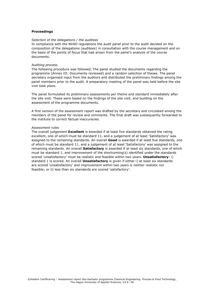#### **Proceedings**

#### *Selection of the delegations / the auditees*

In compliance with the NVAO regulations the audit panel prior to the audit decided on the composition of the delegations (auditees) in consultation with the course management and on the basis of the points of focus that had arisen from the panel's analysis of the course documents.

#### *Auditing process*

The following procedure was followed. The panel studied the documents regarding the programme (Annex III: Documents reviewed) and a random selection of theses. The panel secretary organised input from the auditors and distributed the preliminary findings among the panel members prior to the audit. A preparatory meeting of the panel was held before the site visit took place.

The panel formulated its preliminary assessments per theme and standard immediately after the site visit. These were based on the findings of the site visit, and building on the assessment of the programme documents.

A first version of the assessment report was drafted by the secretary and circulated among the members of the panel for review and comments. The final draft was subsequently forwarded to the institute to correct factual inaccuracies.

#### *Assessment rules*

The overall judgement **Excellent** is awarded if at least five standards obtained the rating excellent, one of which must be standard 11, and a judgement of at least 'Satisfactory' was assigned to the remaining standards. An overall **Good** is awarded if at least five standards, one of which must be standard 11, and a judgement of at least 'Satisfactory' was assigned to the remaining standards. An overall **Satisfactory** is awarded if at least six standards, one of which must be standard 1, and improvement of the shortcoming(s) identified under the standards scored 'unsatisfactory' must be realistic and feasible within two years. **Unsatisfactory**: i) standard 1 is scored. An overall **Unsatisfactory** is given if either i) at least six standards are scored 'unsatisfactory' and improvement within two years is neither realistic nor feasible; or ii) less than six standards are scored 'satisfactory'.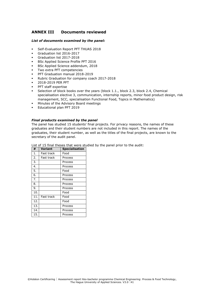# <span id="page-46-0"></span>**ANNEX III Documents reviewed**

#### *List of documents examined by the panel:*

- Self-Evaluation Report PFT THUAS 2018
- Graduation list 2016-2017
- Graduation list 2017-2018
- BSc Applied Science Profile PFT 2016
- BSc Applied Science addendum, 2018
- Two extra PFT competencies
- PFT Graduation manual 2018-2019
- Rubric Graduation for company coach 2017-2018
- **2018-2019 PER PFT**
- **PFT staff expertise**
- Selection of block books over the years (block 1.1., block 2.3, block 2.4, Chemical specialisation elective 3, communication, internship reports, minor food product design, risk management, SCC, specialisation Functional Food, Topics in Mathematics)
- Minutes of the Advisory Board meetings
- **Educational plan PFT 2019**

#### *Final products examined by the panel*

The panel has studied 15 students' final projects. For privacy reasons, the names of these graduates and their student numbers are not included in this report. The names of the graduates, their student number, as well as the titles of the final projects, are known to the secretary of the audit panel.

| #   | Variant    | <b>Specialisation</b> |
|-----|------------|-----------------------|
| 1.  | Fast track | Food                  |
| 2.  | Fast track | Process               |
| 3.  |            | Process               |
| 4.  |            | Process               |
| 5.  |            | Food                  |
| 6.  |            | Process               |
| 7.  |            | Process               |
| 8.  |            | Process               |
| 9.  |            | Process               |
| 10. |            | Food                  |
| 11. | Fast track | Food                  |
| 12. |            | Food                  |
| 13. |            | Process               |
| 14. |            | Process               |
| 15. |            | Process               |

List of 15 final theses that were studied by the panel prior to the audit: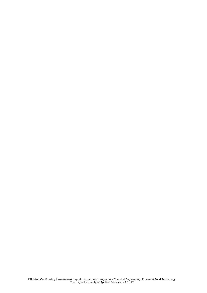©Hobéon Certificering Assessment report hbo-bachelor programme Chemical Engineering: Process & Food Technology, The Hague University of Applied Sciences. V3.0 |42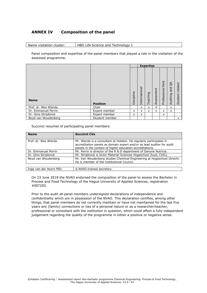# <span id="page-48-0"></span>**ANNEX IV Composition of the panel**

| I Name visitation cluster: | HBO Life Science and Technology 1 |
|----------------------------|-----------------------------------|

Panel composition and expertise of the panel members that played a role in the visitation of the assessed programme.

|                      |                 |            |              | <b>Expertise</b> |            |                    |                      |                     |
|----------------------|-----------------|------------|--------------|------------------|------------|--------------------|----------------------|---------------------|
| <b>Name</b>          | <b>Position</b> | Discipline | Internationa | Teaching         | Assessment | Professional field | Z<br>and<br>Auditing | related<br>Student- |
| Prof. dr. Wes Wierda | Chair           |            | x            | $\mathsf{x}$     | X          |                    | x                    |                     |
| Dr. Emmanuel Perrin  | Expert member   | x          | $\mathsf{x}$ | X                | X          | X                  | x                    |                     |
| Dr. Gino Strijdonck  | Expert member   | X          | x            |                  |            | X                  |                      |                     |
| Boyd van Woudenberg  | Student member  |            |              |                  |            |                    |                      | X                   |

Succinct resumes of participating panel members:

| <b>Name</b>            | <b>Succinct CVs</b>                                                                                                                                                                                       |
|------------------------|-----------------------------------------------------------------------------------------------------------------------------------------------------------------------------------------------------------|
| Prof. dr. Wes Wierda   | Mr. Wierda is a consultant at Hobéon. He regularly participates in<br>accreditation panels as domain expert and/or as lead auditor for audit<br>panels in the context of higher education accreditations. |
| Dr. Emmanuel Perrin    | Mr. Perrin is director of the R & D department of Danone Nutricia.                                                                                                                                        |
| Dr. Gino Strijdonck    | Mr. Strijdonck is lector Material Sciences Hogeschool Zuyd, CHILL                                                                                                                                         |
| Boyd van Woudenberg    | Mr. Van Woudenberg studies Chemical Engineering at Hogeschool Utrecht.<br>He is member of the Institutional Council.                                                                                      |
|                        |                                                                                                                                                                                                           |
| Inge van der Hoorn MSc | is NVAO-trained secretary.                                                                                                                                                                                |

Inge van der Hoorn MSc | is NVAO-trained secretary.

On 23 June 2018 the NVAO endorsed the composition of the panel to assess the Bachelor in Process and Food Technology of the Hague University of Applied Sciences, registration #007103.

Prior to the audit all panel members undersigned declarations of independence and confidentiality which are in possession of the NVAO. This declaration certifies, among other things, that panel members do not currently maintain or have not maintained for the last five years any (family) connections or ties of a personal nature or as a researcher/teacher, professional or consultant with the institution in question, which could affect a fully independent judgement regarding the quality of the programme in either a positive or negative sense.